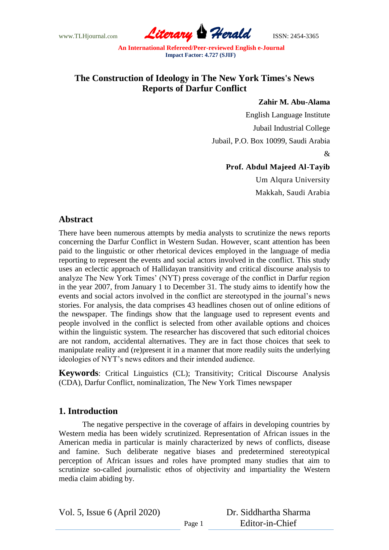www.TLHjournal.com *Literary Herald*ISSN: 2454-3365

## **The Construction of Ideology in The New York Times's News Reports of Darfur Conflict**

#### **Zahir M. Abu-Alama**

English Language Institute Jubail Industrial College Jubail, P.O. Box 10099, Saudi Arabia &

### **Prof. Abdul Majeed Al-Tayib**

Um Alqura University Makkah, Saudi Arabia

## **Abstract**

There have been numerous attempts by media analysts to scrutinize the news reports concerning the Darfur Conflict in Western Sudan. However, scant attention has been paid to the linguistic or other rhetorical devices employed in the language of media reporting to represent the events and social actors involved in the conflict. This study uses an eclectic approach of Hallidayan transitivity and critical discourse analysis to analyze The New York Times' (NYT) press coverage of the conflict in Darfur region in the year 2007, from January 1 to December 31. The study aims to identify how the events and social actors involved in the conflict are stereotyped in the journal"s news stories. For analysis, the data comprises 43 headlines chosen out of online editions of the newspaper. The findings show that the language used to represent events and people involved in the conflict is selected from other available options and choices within the linguistic system. The researcher has discovered that such editorial choices are not random, accidental alternatives. They are in fact those choices that seek to manipulate reality and (re)present it in a manner that more readily suits the underlying ideologies of NYT"s news editors and their intended audience.

**Keywords**: Critical Linguistics (CL); Transitivity; Critical Discourse Analysis (CDA), Darfur Conflict, nominalization, The New York Times newspaper

# **1. Introduction**

The negative perspective in the coverage of affairs in developing countries by Western media has been widely scrutinized. Representation of African issues in the American media in particular is mainly characterized by news of conflicts, disease and famine. Such deliberate negative biases and predetermined stereotypical perception of African issues and roles have prompted many studies that aim to scrutinize so-called journalistic ethos of objectivity and impartiality the Western media claim abiding by.

Vol. 5, Issue 6 (April 2020)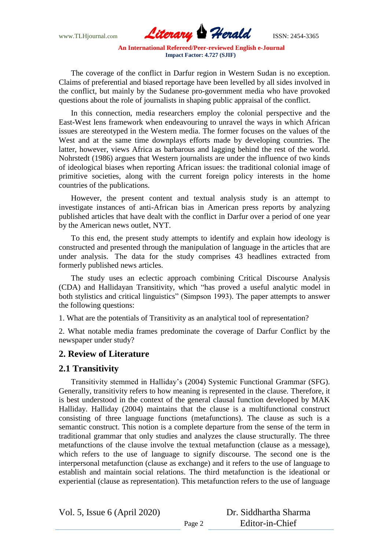

The coverage of the conflict in Darfur region in Western Sudan is no exception. Claims of preferential and biased reportage have been levelled by all sides involved in the conflict, but mainly by the Sudanese pro-government media who have provoked questions about the role of journalists in shaping public appraisal of the conflict.

In this connection, media researchers employ the colonial perspective and the East-West lens framework when endeavouring to unravel the ways in which African issues are stereotyped in the Western media. The former focuses on the values of the West and at the same time downplays efforts made by developing countries. The latter, however, views Africa as barbarous and lagging behind the rest of the world. Nohrstedt (1986) argues that Western journalists are under the influence of two kinds of ideological biases when reporting African issues: the traditional colonial image of primitive societies, along with the current foreign policy interests in the home countries of the publications.

However, the present content and textual analysis study is an attempt to investigate instances of anti-African bias in American press reports by analyzing published articles that have dealt with the conflict in Darfur over a period of one year by the American news outlet, NYT.

To this end, the present study attempts to identify and explain how ideology is constructed and presented through the manipulation of language in the articles that are under analysis. The data for the study comprises 43 headlines extracted from formerly published news articles.

The study uses an eclectic approach combining Critical Discourse Analysis (CDA) and Hallidayan Transitivity, which "has proved a useful analytic model in both stylistics and critical linguistics" (Simpson 1993). The paper attempts to answer the following questions:

1. What are the potentials of Transitivity as an analytical tool of representation?

2. What notable media frames predominate the coverage of Darfur Conflict by the newspaper under study?

### **2. Review of Literature**

### **2.1 Transitivity**

Transitivity stemmed in Halliday"s (2004) Systemic Functional Grammar (SFG). Generally, transitivity refers to how meaning is represented in the clause. Therefore, it is best understood in the context of the general clausal function developed by MAK Halliday. Halliday (2004) maintains that the clause is a multifunctional construct consisting of three language functions (metafunctions). The clause as such is a semantic construct. This notion is a complete departure from the sense of the term in traditional grammar that only studies and analyzes the clause structurally. The three metafunctions of the clause involve the textual metafunction (clause as a message), which refers to the use of language to signify discourse. The second one is the interpersonal metafunction (clause as exchange) and it refers to the use of language to establish and maintain social relations. The third metafunction is the ideational or experiential (clause as representation). This metafunction refers to the use of language

Vol. 5, Issue 6 (April 2020)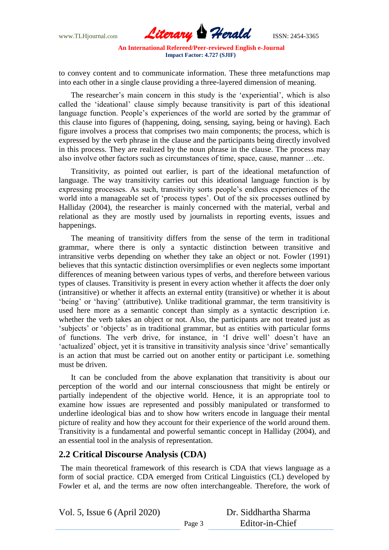

to convey content and to communicate information. These three metafunctions map into each other in a single clause providing a three-layered dimension of meaning.

The researcher's main concern in this study is the 'experiential', which is also called the "ideational" clause simply because transitivity is part of this ideational language function. People's experiences of the world are sorted by the grammar of this clause into figures of (happening, doing, sensing, saying, being or having). Each figure involves a process that comprises two main components; the process, which is expressed by the verb phrase in the clause and the participants being directly involved in this process. They are realized by the noun phrase in the clause. The process may also involve other factors such as circumstances of time, space, cause, manner …etc.

Transitivity, as pointed out earlier, is part of the ideational metafunction of language. The way transitivity carries out this ideational language function is by expressing processes. As such, transitivity sorts people"s endless experiences of the world into a manageable set of "process types". Out of the six processes outlined by Halliday (2004), the researcher is mainly concerned with the material, verbal and relational as they are mostly used by journalists in reporting events, issues and happenings.

The meaning of transitivity differs from the sense of the term in traditional grammar, where there is only a syntactic distinction between transitive and intransitive verbs depending on whether they take an object or not. Fowler (1991) believes that this syntactic distinction oversimplifies or even neglects some important differences of meaning between various types of verbs, and therefore between various types of clauses. Transitivity is present in every action whether it affects the doer only (intransitive) or whether it affects an external entity (transitive) or whether it is about "being" or "having" (attributive). Unlike traditional grammar, the term transitivity is used here more as a semantic concept than simply as a syntactic description i.e. whether the verb takes an object or not. Also, the participants are not treated just as "subjects" or "objects" as in traditional grammar, but as entities with particular forms of functions. The verb drive, for instance, in "I drive well" doesn"t have an 'actualized' object, yet it is transitive in transitivity analysis since 'drive' semantically is an action that must be carried out on another entity or participant i.e. something must be driven.

It can be concluded from the above explanation that transitivity is about our perception of the world and our internal consciousness that might be entirely or partially independent of the objective world. Hence, it is an appropriate tool to examine how issues are represented and possibly manipulated or transformed to underline ideological bias and to show how writers encode in language their mental picture of reality and how they account for their experience of the world around them. Transitivity is a fundamental and powerful semantic concept in Halliday (2004), and an essential tool in the analysis of representation.

### **2.2 Critical Discourse Analysis (CDA)**

The main theoretical framework of this research is CDA that views language as a form of social practice. CDA emerged from Critical Linguistics (CL) developed by Fowler et al, and the terms are now often interchangeable. Therefore, the work of

Vol. 5, Issue 6 (April 2020)

| Dr. Siddhartha Sharma |
|-----------------------|
| Editor-in-Chief       |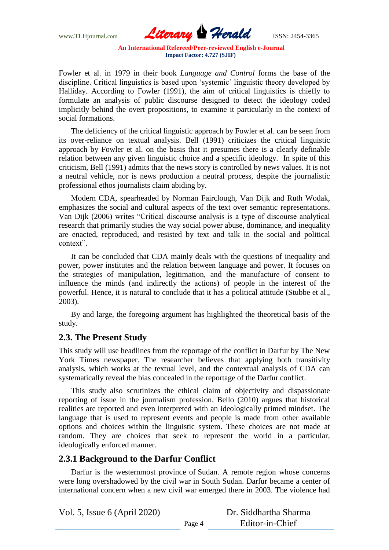

Fowler et al. in 1979 in their book *Language and Control* forms the base of the discipline. Critical linguistics is based upon "systemic" linguistic theory developed by Halliday. According to Fowler (1991), the aim of critical linguistics is chiefly to formulate an analysis of public discourse designed to detect the ideology coded implicitly behind the overt propositions, to examine it particularly in the context of social formations.

The deficiency of the critical linguistic approach by Fowler et al. can be seen from its over-reliance on textual analysis. Bell (1991) criticizes the critical linguistic approach by Fowler et al. on the basis that it presumes there is a clearly definable relation between any given linguistic choice and a specific ideology. In spite of this criticism, Bell (1991) admits that the news story is controlled by news values. It is not a neutral vehicle, nor is news production a neutral process, despite the journalistic professional ethos journalists claim abiding by.

Modern CDA, spearheaded by Norman Fairclough, Van Dijk and Ruth Wodak, emphasizes the social and cultural aspects of the text over semantic representations. Van Dijk (2006) writes "Critical discourse analysis is a type of discourse analytical research that primarily studies the way social power abuse, dominance, and inequality are enacted, reproduced, and resisted by text and talk in the social and political context".

It can be concluded that CDA mainly deals with the questions of inequality and power, power institutes and the relation between language and power. It focuses on the strategies of manipulation, legitimation, and the manufacture of consent to influence the minds (and indirectly the actions) of people in the interest of the powerful. Hence, it is natural to conclude that it has a political attitude (Stubbe et al., 2003).

By and large, the foregoing argument has highlighted the theoretical basis of the study.

# **2.3. The Present Study**

This study will use headlines from the reportage of the conflict in Darfur by The New York Times newspaper. The researcher believes that applying both transitivity analysis, which works at the textual level, and the contextual analysis of CDA can systematically reveal the bias concealed in the reportage of the Darfur conflict.

This study also scrutinizes the ethical claim of objectivity and dispassionate reporting of issue in the journalism profession. Bello (2010) argues that historical realities are reported and even interpreted with an ideologically primed mindset. The language that is used to represent events and people is made from other available options and choices within the linguistic system. These choices are not made at random. They are choices that seek to represent the world in a particular, ideologically enforced manner.

### **2.3.1 Background to the Darfur Conflict**

Darfur is the westernmost province of [Sudan.](about:blank) A remote region whose concerns were long overshadowed by the civil war in South Sudan. Darfur became a center of international concern when a new civil war emerged there in 2003. The violence had

Vol. 5, Issue 6 (April 2020)

| Dr. Siddhartha Sharma |
|-----------------------|
| Editor-in-Chief       |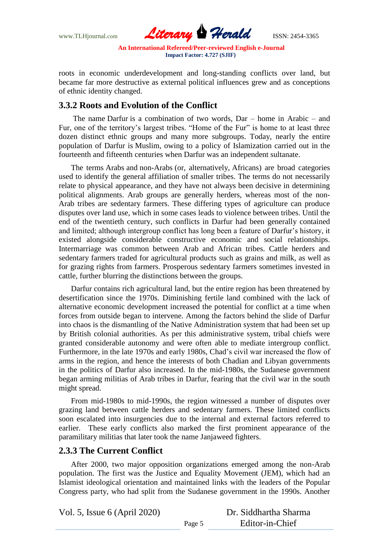

roots in economic underdevelopment and long-standing conflicts over land, but became far more destructive as external political influences grew and as conceptions of ethnic identity changed.

### **3.3.2 Roots and Evolution of the Conflict**

The name Darfur is a combination of two words, Dar – home in Arabic – and Fur, one of the territory"s largest tribes. "Home of the Fur" is home to at least three dozen distinct ethnic groups and many more subgroups. Today, nearly the entire population of Darfur is [Muslim,](about:blank) owing to a policy of Islamization carried out in the fourteenth and fifteenth centuries when Darfur was an independent sultanate.

The terms Arabs and non-Arabs (or, alternatively, Africans) are broad categories used to identify the general affiliation of smaller tribes. The terms do not necessarily relate to physical appearance, and they have not always been decisive in determining political alignments. Arab groups are generally herders, whereas most of the non-Arab tribes are sedentary farmers. These differing types of agriculture can produce disputes over land use, which in some cases leads to violence between tribes. Until the end of the twentieth century, such conflicts in Darfur had been generally contained and limited; although intergroup conflict has long been a feature of Darfur's history, it existed alongside considerable constructive economic and social relationships. Intermarriage was common between Arab and African tribes. Cattle herders and sedentary farmers traded for agricultural products such as grains and milk, as well as for grazing rights from farmers. Prosperous sedentary farmers sometimes invested in cattle, further blurring the distinctions between the groups.

Darfur contains rich agricultural land, but the entire region has been threatened by desertification since the 1970s. Diminishing fertile land combined with the lack of alternative economic development increased the potential for conflict at a time when forces from outside began to intervene. Among the factors behind the slide of Darfur into chaos is the dismantling of the Native Administration system that had been set up by British colonial authorities. As per this administrative system, tribal chiefs were granted considerable autonomy and were often able to mediate intergroup conflict. Furthermore, in the late 1970s and early 1980s, [Chad"](about:blank)s civil war increased the flow of arms in the region, and hence the interests of both Chadian and Libyan governments in the politics of Darfur also increased. In the mid-1980s, the Sudanese government began arming militias of Arab tribes in Darfur, fearing that the civil war in the south might spread.

From mid-1980s to mid-1990s, the region witnessed a number of disputes over grazing land between cattle herders and sedentary farmers. These limited conflicts soon escalated into insurgencies due to the internal and external factors referred to earlier. These early conflicts also marked the first prominent appearance of the paramilitary militias that later took the name Janjaweed fighters.

### **2.3.3 The Current Conflict**

After 2000, two major opposition organizations emerged among the non-Arab population. The first was the Justice and Equality Movement (JEM), which had an Islamist ideological orientation and maintained links with the leaders of the Popular Congress party, who had split from the Sudanese government in the 1990s. Another

Vol. 5, Issue 6 (April 2020)

| Dr. Siddhartha Sharma |  |
|-----------------------|--|
| Editor-in-Chief       |  |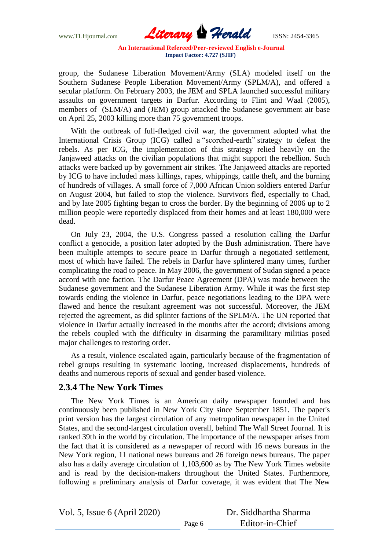

group, the Sudanese Liberation Movement/Army (SLA) modeled itself on the Southern Sudanese People Liberation Movement/Army (SPLM/A), and offered a secular platform. On February 2003, the JEM and SPLA launched successful military assaults on government targets in Darfur. According to Flint and Waal (2005), members of (SLM/A) and (JEM) group attacked the Sudanese government air base on April 25, 2003 killing more than 75 government troops.

With the outbreak of full-fledged civil war, the government adopted what the International Crisis Group (ICG) called a "scorched-earth" strategy to defeat the rebels. As per ICG, the implementation of this strategy relied heavily on the Janjaweed attacks on the civilian populations that might support the rebellion. Such attacks were backed up by government air strikes. The Janjaweed attacks are reported by ICG to have included mass killings, rapes, whippings, cattle theft, and the burning of hundreds of villages. A small force of 7,000 African Union soldiers entered Darfur on August 2004, but failed to stop the violence. Survivors fled, especially to Chad, and by late 2005 fighting began to cross the border. By the beginning of 2006 up to 2 million people were reportedly displaced from their homes and at least 180,000 were dead.

On July 23, 2004, the U.S. Congress passed a resolution calling the Darfur conflict a genocide, a position later adopted by the Bush administration. There have been multiple attempts to secure peace in Darfur through a negotiated settlement, most of which have failed. The rebels in Darfur have splintered many times, further complicating the road to peace. In May 2006, the government of Sudan signed a peace accord with one faction. The Darfur Peace Agreement (DPA) was made between the Sudanese government and the Sudanese Liberation Army. While it was the first step towards ending the violence in Darfur, peace negotiations leading to the DPA were flawed and hence the resultant agreement was not successful. Moreover, the JEM rejected the agreement, as did splinter factions of the SPLM/A. The UN reported that violence in Darfur actually increased in the months after the accord; divisions among the rebels coupled with the difficulty in disarming the paramilitary militias posed major challenges to restoring order.

As a result, violence escalated again, particularly because of the fragmentation of rebel groups resulting in systematic looting, increased displacements, hundreds of deaths and numerous reports of sexual and gender based violence.

### **2.3.4 The New York Times**

The New York Times is an American daily newspaper founded and has continuously been published in New York City since September 1851. The paper's print version has the largest circulation of any metropolitan newspaper in the United States, and the second-largest circulation overall, behind The Wall Street Journal. It is ranked 39th in the world by circulation. The importance of the newspaper arises from the fact that it is considered as a newspaper of record with 16 news bureaus in the New York region, 11 national news bureaus and 26 foreign news bureaus. The paper also has a daily average circulation of 1,103,600 as by The New York Times website and is read by the decision-makers throughout the United States. Furthermore, following a preliminary analysis of Darfur coverage, it was evident that The New

Vol. 5, Issue 6 (April 2020)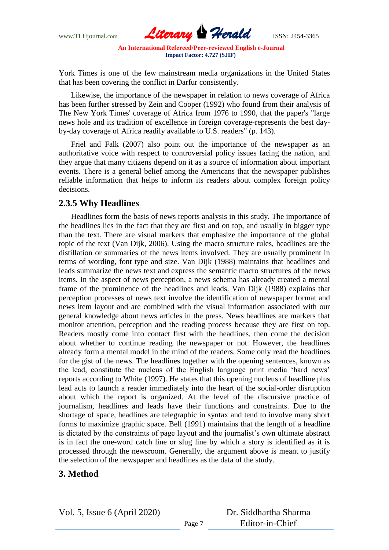

York Times is one of the few mainstream media organizations in the United States that has been covering the conflict in Darfur consistently.

Likewise, the importance of the newspaper in relation to news coverage of Africa has been further stressed by Zein and Cooper (1992) who found from their analysis of The New York Times' coverage of Africa from 1976 to 1990, that the paper's "large news hole and its tradition of excellence in foreign coverage-represents the best dayby-day coverage of Africa readily available to U.S. readers" (p. 143).

Friel and Falk (2007) also point out the importance of the newspaper as an authoritative voice with respect to controversial policy issues facing the nation, and they argue that many citizens depend on it as a source of information about important events. There is a general belief among the Americans that the newspaper publishes reliable information that helps to inform its readers about complex foreign policy decisions.

### **2.3.5 Why Headlines**

Headlines form the basis of news reports analysis in this study. The importance of the headlines lies in the fact that they are first and on top, and usually in bigger type than the text. There are visual markers that emphasize the importance of the global topic of the text (Van Dijk, 2006). Using the macro structure rules, headlines are the distillation or summaries of the news items involved. They are usually prominent in terms of wording, font type and size. Van Dijk (1988) maintains that headlines and leads summarize the news text and express the semantic macro structures of the news items. In the aspect of news perception, a news schema has already created a mental frame of the prominence of the headlines and leads. Van Dijk (1988) explains that perception processes of news text involve the identification of newspaper format and news item layout and are combined with the visual information associated with our general knowledge about news articles in the press. News headlines are markers that monitor attention, perception and the reading process because they are first on top. Readers mostly come into contact first with the headlines, then come the decision about whether to continue reading the newspaper or not. However, the headlines already form a mental model in the mind of the readers. Some only read the headlines for the gist of the news. The headlines together with the opening sentences, known as the lead, constitute the nucleus of the English language print media "hard news" reports according to White (1997). He states that this opening nucleus of headline plus lead acts to launch a reader immediately into the heart of the social-order disruption about which the report is organized. At the level of the discursive practice of journalism, headlines and leads have their functions and constraints. Due to the shortage of space, headlines are telegraphic in syntax and tend to involve many short forms to maximize graphic space. Bell (1991) maintains that the length of a headline is dictated by the constraints of page layout and the journalist's own ultimate abstract is in fact the one-word catch line or slug line by which a story is identified as it is processed through the newsroom. Generally, the argument above is meant to justify the selection of the newspaper and headlines as the data of the study.

## **3. Method**

Vol. 5, Issue 6 (April 2020)

Dr. Siddhartha Sharma Editor-in-Chief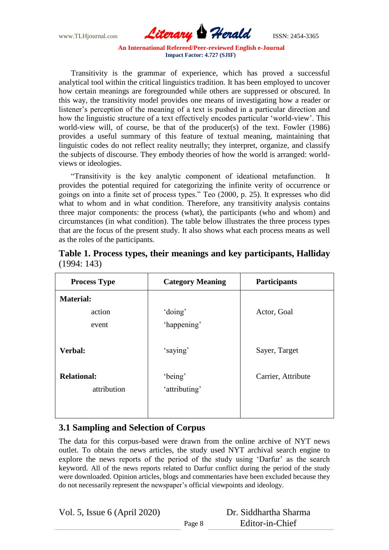

Transitivity is the grammar of experience, which has proved a successful analytical tool within the critical linguistics tradition. It has been employed to uncover how certain meanings are foregrounded while others are suppressed or obscured. In this way, the transitivity model provides one means of investigating how a reader or listener's perception of the meaning of a text is pushed in a particular direction and how the linguistic structure of a text effectively encodes particular "world-view". This world-view will, of course, be that of the producer(s) of the text. Fowler (1986) provides a useful summary of this feature of textual meaning, maintaining that linguistic codes do not reflect reality neutrally; they interpret, organize, and classify the subjects of discourse. They embody theories of how the world is arranged: worldviews or ideologies.

"Transitivity is the key analytic component of ideational metafunction. It provides the potential required for categorizing the infinite verity of occurrence or goings on into a finite set of process types." Teo (2000, p. 25). It expresses who did what to whom and in what condition. Therefore, any transitivity analysis contains three major components: the process (what), the participants (who and whom) and circumstances (in what condition). The table below illustrates the three process types that are the focus of the present study. It also shows what each process means as well as the roles of the participants.

| <b>Process Type</b> | <b>Category Meaning</b> | <b>Participants</b> |  |  |
|---------------------|-------------------------|---------------------|--|--|
| <b>Material:</b>    |                         |                     |  |  |
| action              | 'doing'                 | Actor, Goal         |  |  |
| event               | 'happening'             |                     |  |  |
| Verbal:             | 'saying'                | Sayer, Target       |  |  |
| <b>Relational:</b>  | 'being'                 | Carrier, Attribute  |  |  |
| attribution         | 'attributing'           |                     |  |  |
|                     |                         |                     |  |  |
|                     |                         |                     |  |  |

|             |  |  |  | Table 1. Process types, their meanings and key participants, Halliday |  |
|-------------|--|--|--|-----------------------------------------------------------------------|--|
| (1994: 143) |  |  |  |                                                                       |  |

## **3.1 Sampling and Selection of Corpus**

The data for this corpus-based were drawn from the online archive of NYT news outlet. To obtain the news articles, the study used NYT archival search engine to explore the news reports of the period of the study using 'Darfur' as the search keyword. All of the news reports related to Darfur conflict during the period of the study were downloaded. Opinion articles, blogs and commentaries have been excluded because they do not necessarily represent the newspaper"s official viewpoints and ideology.

Vol. 5, Issue 6 (April 2020)

| Dr. Siddhartha Sharma |  |
|-----------------------|--|
| Editor-in-Chief       |  |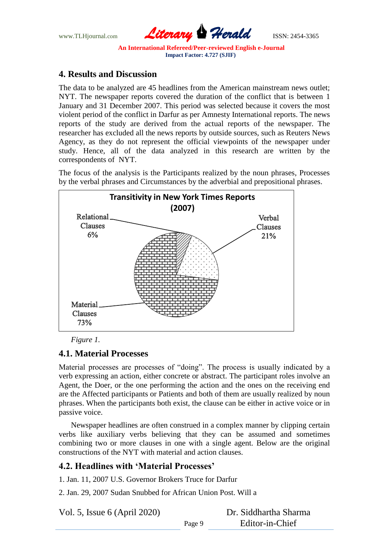

## **4. Results and Discussion**

The data to be analyzed are 45 headlines from the American mainstream news outlet; NYT. The newspaper reports covered the duration of the conflict that is between 1 January and 31 December 2007. This period was selected because it covers the most violent period of the conflict in Darfur as per Amnesty International reports. The news reports of the study are derived from the actual reports of the newspaper. The researcher has excluded all the news reports by outside sources, such as Reuters News Agency, as they do not represent the official viewpoints of the newspaper under study. Hence, all of the data analyzed in this research are written by the correspondents of NYT.

The focus of the analysis is the Participants realized by the noun phrases, Processes by the verbal phrases and Circumstances by the adverbial and prepositional phrases.



*Figure 1.*

## **4.1. Material Processes**

Material processes are processes of "doing". The process is usually indicated by a verb expressing an action, either concrete or abstract. The participant roles involve an Agent, the Doer, or the one performing the action and the ones on the receiving end are the Affected participants or Patients and both of them are usually realized by noun phrases. When the participants both exist, the clause can be either in active voice or in passive voice.

Newspaper headlines are often construed in a complex manner by clipping certain verbs like auxiliary verbs believing that they can be assumed and sometimes combining two or more clauses in one with a single agent. Below are the original constructions of the NYT with material and action clauses.

Page 9

## **4.2. Headlines with 'Material Processes'**

1. Jan. 11, 2007 U.S. Governor Brokers Truce for Darfur

2. Jan. 29, 2007 Sudan Snubbed for African Union Post. Will a

Vol. 5, Issue 6 (April 2020)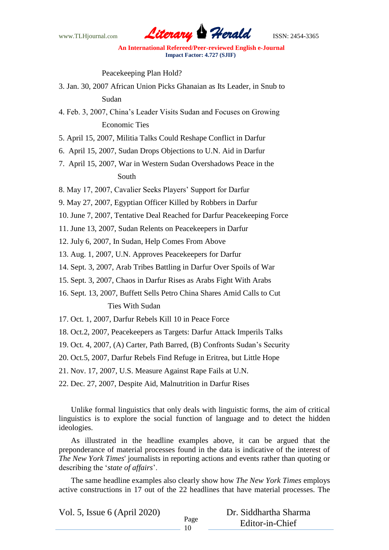

Peacekeeping Plan Hold?

- 3. Jan. 30, 2007 African Union Picks Ghanaian as Its Leader, in Snub to Sudan
- 4. Feb. 3, 2007, China"s Leader Visits Sudan and Focuses on Growing Economic Ties
- 5. April 15, 2007, Militia Talks Could Reshape Conflict in Darfur
- 6. April 15, 2007, Sudan Drops Objections to U.N. Aid in Darfur
- 7. April 15, 2007, War in Western Sudan Overshadows Peace in the South
- 8. May 17, 2007, Cavalier Seeks Players" Support for Darfur
- 9. May 27, 2007, Egyptian Officer Killed by Robbers in Darfur
- 10. June 7, 2007, Tentative Deal Reached for Darfur Peacekeeping Force
- 11. June 13, 2007, Sudan Relents on Peacekeepers in Darfur
- 12. July 6, 2007, In Sudan, Help Comes From Above
- 13. Aug. 1, 2007, U.N. Approves Peacekeepers for Darfur
- 14. Sept. 3, 2007, Arab Tribes Battling in Darfur Over Spoils of War
- 15. Sept. 3, 2007, Chaos in Darfur Rises as Arabs Fight With Arabs
- 16. Sept. 13, 2007, Buffett Sells Petro China Shares Amid Calls to Cut Ties With Sudan
- 17. Oct. 1, 2007, Darfur Rebels Kill 10 in Peace Force
- 18. Oct.2, 2007, Peacekeepers as Targets: Darfur Attack Imperils Talks
- 19. Oct. 4, 2007, (A) Carter, Path Barred, (B) Confronts Sudan"s Security
- 20. Oct.5, 2007, Darfur Rebels Find Refuge in Eritrea, but Little Hope
- 21. Nov. 17, 2007, U.S. Measure Against Rape Fails at U.N.
- 22. Dec. 27, 2007, Despite Aid, Malnutrition in Darfur Rises

Unlike formal linguistics that only deals with linguistic forms, the aim of critical linguistics is to explore the social function of language and to detect the hidden ideologies.

As illustrated in the headline examples above, it can be argued that the preponderance of material processes found in the data is indicative of the interest of *The New York Times*' journalists in reporting actions and events rather than quoting or describing the "*state of affairs*".

The same headline examples also clearly show how *The New York Times* employs active constructions in 17 out of the 22 headlines that have material processes. The

Vol. 5, Issue 6 (April 2020)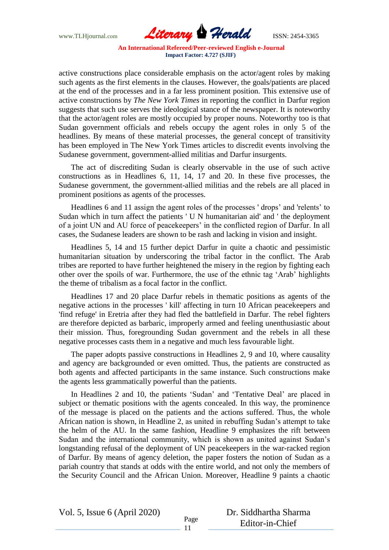

active constructions place considerable emphasis on the actor/agent roles by making such agents as the first elements in the clauses. However, the goals/patients are placed at the end of the processes and in a far less prominent position. This extensive use of active constructions by *The New York Times* in reporting the conflict in Darfur region suggests that such use serves the ideological stance of the newspaper. It is noteworthy that the actor/agent roles are mostly occupied by proper nouns. Noteworthy too is that Sudan government officials and rebels occupy the agent roles in only 5 of the headlines. By means of these material processes, the general concept of transitivity has been employed in The New York Times articles to discredit events involving the Sudanese government, government-allied militias and Darfur insurgents.

The act of discrediting Sudan is clearly observable in the use of such active constructions as in Headlines 6, 11, 14, 17 and 20. In these five processes, the Sudanese government, the government-allied militias and the rebels are all placed in prominent positions as agents of the processes.

Headlines 6 and 11 assign the agent roles of the processes 'drops' and 'relents' to Sudan which in turn affect the patients ' U N humanitarian aid' and ' the deployment of a joint UN and AU force of peacekeepers" in the conflicted region of Darfur. In all cases, the Sudanese leaders are shown to be rash and lacking in vision and insight.

Headlines 5, 14 and 15 further depict Darfur in quite a chaotic and pessimistic humanitarian situation by underscoring the tribal factor in the conflict. The Arab tribes are reported to have further heightened the misery in the region by fighting each other over the spoils of war. Furthermore, the use of the ethnic tag "Arab" highlights the theme of tribalism as a focal factor in the conflict.

Headlines 17 and 20 place Darfur rebels in thematic positions as agents of the negative actions in the processes ' kill' affecting in turn 10 African peacekeepers and 'find refuge' in Eretria after they had fled the battlefield in Darfur. The rebel fighters are therefore depicted as barbaric, improperly armed and feeling unenthusiastic about their mission. Thus, foregrounding Sudan government and the rebels in all these negative processes casts them in a negative and much less favourable light.

The paper adopts passive constructions in Headlines 2, 9 and 10, where causality and agency are backgrounded or even omitted. Thus, the patients are constructed as both agents and affected participants in the same instance. Such constructions make the agents less grammatically powerful than the patients.

In Headlines 2 and 10, the patients 'Sudan' and 'Tentative Deal' are placed in subject or thematic positions with the agents concealed. In this way, the prominence of the message is placed on the patients and the actions suffered. Thus, the whole African nation is shown, in Headline 2, as united in rebuffing Sudan"s attempt to take the helm of the AU. In the same fashion, Headline 9 emphasizes the rift between Sudan and the international community, which is shown as united against Sudan"s longstanding refusal of the deployment of UN peacekeepers in the war-racked region of Darfur. By means of agency deletion, the paper fosters the notion of Sudan as a pariah country that stands at odds with the entire world, and not only the members of the Security Council and the African Union. Moreover, Headline 9 paints a chaotic

Vol. 5, Issue 6 (April 2020)

Dr. Siddhartha Sharma Editor-in-Chief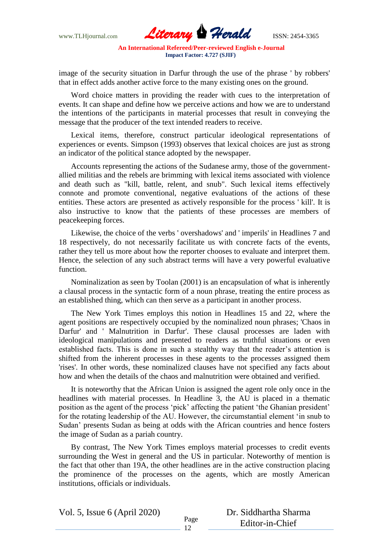

image of the security situation in Darfur through the use of the phrase ' by robbers' that in effect adds another active force to the many existing ones on the ground.

Word choice matters in providing the reader with cues to the interpretation of events. It can shape and define how we perceive actions and how we are to understand the intentions of the participants in material processes that result in conveying the message that the producer of the text intended readers to receive.

Lexical items, therefore, construct particular ideological representations of experiences or events. Simpson (1993) observes that lexical choices are just as strong an indicator of the political stance adopted by the newspaper.

Accounts representing the actions of the Sudanese army, those of the governmentallied militias and the rebels are brimming with lexical items associated with violence and death such as "kill, battle, relent, and snub". Such lexical items effectively connote and promote conventional, negative evaluations of the actions of these entities. These actors are presented as actively responsible for the process ' kill'. It is also instructive to know that the patients of these processes are members of peacekeeping forces.

Likewise, the choice of the verbs ' overshadows' and ' imperils' in Headlines 7 and 18 respectively, do not necessarily facilitate us with concrete facts of the events, rather they tell us more about how the reporter chooses to evaluate and interpret them. Hence, the selection of any such abstract terms will have a very powerful evaluative function.

Nominalization as seen by Toolan (2001) is an encapsulation of what is inherently a clausal process in the syntactic form of a noun phrase, treating the entire process as an established thing, which can then serve as a participant in another process.

The New York Times employs this notion in Headlines 15 and 22, where the agent positions are respectively occupied by the nominalized noun phrases; 'Chaos in Darfur' and ' Malnutrition in Darfur'. These clausal processes are laden with ideological manipulations and presented to readers as truthful situations or even established facts. This is done in such a stealthy way that the reader's attention is shifted from the inherent processes in these agents to the processes assigned them 'rises'. In other words, these nominalized clauses have not specified any facts about how and when the details of the chaos and malnutrition were obtained and verified.

It is noteworthy that the African Union is assigned the agent role only once in the headlines with material processes. In Headline 3, the AU is placed in a thematic position as the agent of the process 'pick' affecting the patient 'the Ghanian president' for the rotating leadership of the AU. However, the circumstantial element "in snub to Sudan" presents Sudan as being at odds with the African countries and hence fosters the image of Sudan as a pariah country.

By contrast, The New York Times employs material processes to credit events surrounding the West in general and the US in particular. Noteworthy of mention is the fact that other than 19A, the other headlines are in the active construction placing the prominence of the processes on the agents, which are mostly American institutions, officials or individuals.

Vol. 5, Issue 6 (April 2020)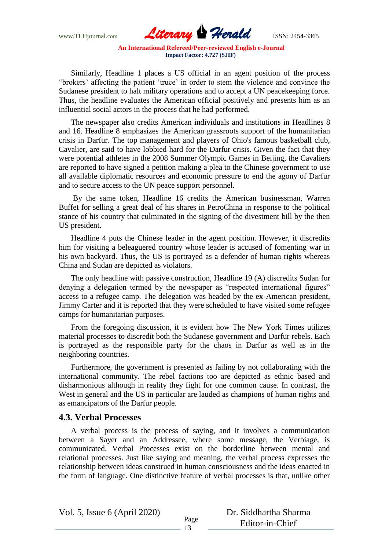

Similarly, Headline 1 places a US official in an agent position of the process "brokers' affecting the patient 'truce' in order to stem the violence and convince the Sudanese president to halt military operations and to accept a UN peacekeeping force. Thus, the headline evaluates the American official positively and presents him as an influential social actors in the process that he had performed.

The newspaper also credits American individuals and institutions in Headlines 8 and 16. Headline 8 emphasizes the American grassroots support of the humanitarian crisis in Darfur. The top management and players of Ohio's famous basketball club, Cavalier, are said to have lobbied hard for the Darfur crisis. Given the fact that they were potential athletes in the 2008 Summer Olympic Games in Beijing, the Cavaliers are reported to have signed a petition making a plea to the Chinese government to use all available diplomatic resources and economic pressure to end the agony of Darfur and to secure access to the UN peace support personnel.

By the same token, Headline 16 credits the American businessman, Warren Buffet for selling a great deal of his shares in PetroChina in response to the political stance of his country that culminated in the signing of the divestment bill by the then US president.

Headline 4 puts the Chinese leader in the agent position. However, it discredits him for visiting a beleaguered country whose leader is accused of fomenting war in his own backyard. Thus, the US is portrayed as a defender of human rights whereas China and Sudan are depicted as violators.

The only headline with passive construction, Headline 19 (A) discredits Sudan for denying a delegation termed by the newspaper as "respected international figures" access to a refugee camp. The delegation was headed by the ex-American president, Jimmy Carter and it is reported that they were scheduled to have visited some refugee camps for humanitarian purposes.

From the foregoing discussion, it is evident how The New York Times utilizes material processes to discredit both the Sudanese government and Darfur rebels. Each is portrayed as the responsible party for the chaos in Darfur as well as in the neighboring countries.

Furthermore, the government is presented as failing by not collaborating with the international community. The rebel factions too are depicted as ethnic based and disharmonious although in reality they fight for one common cause. In contrast, the West in general and the US in particular are lauded as champions of human rights and as emancipators of the Darfur people.

### **4.3. Verbal Processes**

A verbal process is the process of saying, and it involves a communication between a Sayer and an Addressee, where some message, the Verbiage, is communicated. Verbal Processes exist on the borderline between mental and relational processes. Just like saying and meaning, the verbal process expresses the relationship between ideas construed in human consciousness and the ideas enacted in the form of language. One distinctive feature of verbal processes is that, unlike other

Vol. 5, Issue 6 (April 2020)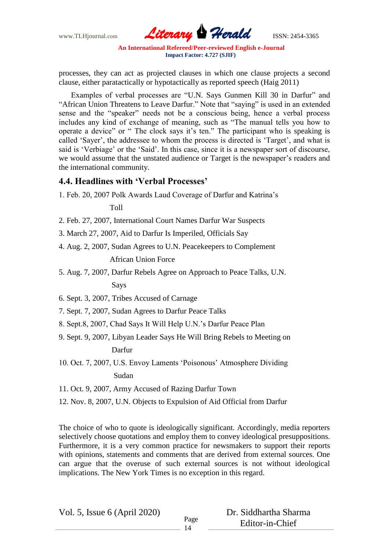

processes, they can act as projected clauses in which one clause projects a second clause, either paratactically or hypotactically as reported speech (Haig 2011)

Examples of verbal processes are "U.N. Says Gunmen Kill 30 in Darfur" and "African Union Threatens to Leave Darfur." Note that "saying" is used in an extended sense and the "speaker" needs not be a conscious being, hence a verbal process includes any kind of exchange of meaning, such as "The manual tells you how to operate a device" or " The clock says it's ten." The participant who is speaking is called "Sayer", the addressee to whom the process is directed is "Target", and what is said is 'Verbiage' or the 'Said'. In this case, since it is a newspaper sort of discourse, we would assume that the unstated audience or Target is the newspaper's readers and the international community.

### **4.4. Headlines with 'Verbal Processes'**

1. Feb. 20, 2007 Polk Awards Laud Coverage of Darfur and Katrina"s

### Toll

- 2. Feb. 27, 2007, International Court Names Darfur War Suspects
- 3. March 27, 2007, Aid to Darfur Is Imperiled, Officials Say
- 4. Aug. 2, 2007, Sudan Agrees to U.N. Peacekeepers to Complement

### African Union Force

5. Aug. 7, 2007, Darfur Rebels Agree on Approach to Peace Talks, U.N.

### Says

6. Sept. 3, 2007, Tribes Accused of Carnage

7. Sept. 7, 2007, Sudan Agrees to Darfur Peace Talks

- 8. Sept.8, 2007, Chad Says It Will Help U.N."s Darfur Peace Plan
- 9. Sept. 9, 2007, Libyan Leader Says He Will Bring Rebels to Meeting on Darfur
- 10. Oct. 7, 2007, U.S. Envoy Laments "Poisonous" Atmosphere Dividing

### Sudan

- 11. Oct. 9, 2007, Army Accused of Razing Darfur Town
- 12. Nov. 8, 2007, U.N. Objects to Expulsion of Aid Official from Darfur

The choice of who to quote is ideologically significant. Accordingly, media reporters selectively choose quotations and employ them to convey ideological presuppositions. Furthermore, it is a very common practice for newsmakers to support their reports with opinions, statements and comments that are derived from external sources. One can argue that the overuse of such external sources is not without ideological implications. The New York Times is no exception in this regard.

Vol. 5, Issue 6 (April 2020)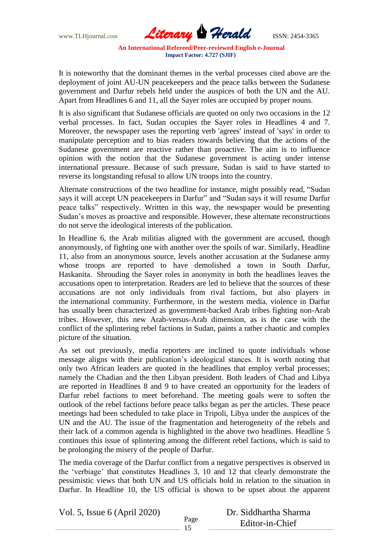

It is noteworthy that the dominant themes in the verbal processes cited above are the deployment of joint AU-UN peacekeepers and the peace talks between the Sudanese government and Darfur rebels held under the auspices of both the UN and the AU. Apart from Headlines 6 and 11, all the Sayer roles are occupied by proper nouns.

It is also significant that Sudanese officials are quoted on only two occasions in the 12 verbal processes. In fact, Sudan occupies the Sayer roles in Headlines 4 and 7. Moreover, the newspaper uses the reporting verb 'agrees' instead of 'says' in order to manipulate perception and to bias readers towards believing that the actions of the Sudanese government are reactive rather than proactive. The aim is to influence opinion with the notion that the Sudanese government is acting under intense international pressure. Because of such pressure, Sudan is said to have started to reverse its longstanding refusal to allow UN troops into the country.

Alternate constructions of the two headline for instance, might possibly read, "Sudan says it will accept UN peacekeepers in Darfur" and "Sudan says it will resume Darfur peace talks" respectively. Written in this way, the newspaper would be presenting Sudan"s moves as proactive and responsible. However, these alternate reconstructions do not serve the ideological interests of the publication.

In Headline 6, the Arab militias aligned with the government are accused, though anonymously, of fighting one with another over the spoils of war. Similarly, Headline 11, also from an anonymous source, levels another accusation at the Sudanese army whose troops are reported to have demolished a town in South Darfur, Haskanita. Shrouding the Sayer roles in anonymity in both the headlines leaves the accusations open to interpretation. Readers are led to believe that the sources of these accusations are not only individuals from rival factions, but also players in the international community. Furthermore, in the western media, violence in Darfur has usually been characterized as government-backed Arab tribes fighting non-Arab tribes. However, this new Arab-versus-Arab dimension, as is the case with the conflict of the splintering rebel factions in Sudan, paints a rather chaotic and complex picture of the situation.

As set out previously, media reporters are inclined to quote individuals whose message aligns with their publication"s ideological stances. It is worth noting that only two African leaders are quoted in the headlines that employ verbal processes; namely the Chadian and the then Libyan president. Both leaders of Chad and Libya are reported in Headlines 8 and 9 to have created an opportunity for the leaders of Darfur rebel factions to meet beforehand. The meeting goals were to soften the outlook of the rebel factions before peace talks began as per the articles. These peace meetings had been scheduled to take place in Tripoli, Libya under the auspices of the UN and the AU. The issue of the fragmentation and heterogeneity of the rebels and their lack of a common agenda is highlighted in the above two headlines. Headline 5 continues this issue of splintering among the different rebel factions, which is said to be prolonging the misery of the people of Darfur.

The media coverage of the Darfur conflict from a negative perspectives is observed in the "verbiage" that constitutes Headlines 3, 10 and 12 that clearly demonstrate the pessimistic views that both UN and US officials hold in relation to the situation in Darfur. In Headline 10, the US official is shown to be upset about the apparent

Vol. 5, Issue 6 (April 2020)

| Dr. Siddhartha Sharma |  |
|-----------------------|--|
| Editor-in-Chief       |  |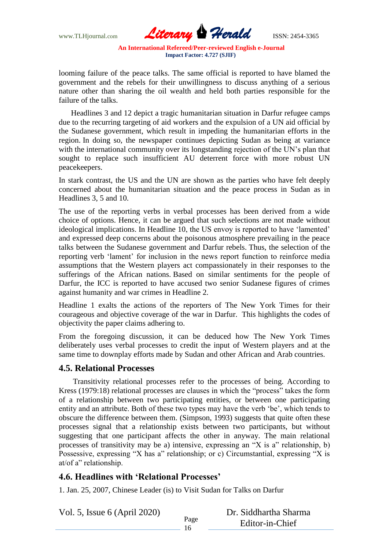

looming failure of the peace talks. The same official is reported to have blamed the government and the rebels for their unwillingness to discuss anything of a serious nature other than sharing the oil wealth and held both parties responsible for the failure of the talks.

Headlines 3 and 12 depict a tragic humanitarian situation in Darfur refugee camps due to the recurring targeting of aid workers and the expulsion of a UN aid official by the Sudanese government, which result in impeding the humanitarian efforts in the region. In doing so, the newspaper continues depicting Sudan as being at variance with the international community over its longstanding rejection of the UN's plan that sought to replace such insufficient AU deterrent force with more robust UN peacekeepers.

In stark contrast, the US and the UN are shown as the parties who have felt deeply concerned about the humanitarian situation and the peace process in Sudan as in Headlines 3, 5 and 10.

The use of the reporting verbs in verbal processes has been derived from a wide choice of options. Hence, it can be argued that such selections are not made without ideological implications. In Headline 10, the US envoy is reported to have "lamented" and expressed deep concerns about the poisonous atmosphere prevailing in the peace talks between the Sudanese government and Darfur rebels. Thus, the selection of the reporting verb "lament" for inclusion in the news report function to reinforce media assumptions that the Western players act compassionately in their responses to the sufferings of the African nations. Based on similar sentiments for the people of Darfur, the ICC is reported to have accused two senior Sudanese figures of crimes against humanity and war crimes in Headline 2.

Headline 1 exalts the actions of the reporters of The New York Times for their courageous and objective coverage of the war in Darfur. This highlights the codes of objectivity the paper claims adhering to.

From the foregoing discussion, it can be deduced how The New York Times deliberately uses verbal processes to credit the input of Western players and at the same time to downplay efforts made by Sudan and other African and Arab countries.

### **4.5. Relational Processes**

Transitivity relational processes refer to the processes of being. According to Kress (1979:18) relational processes are clauses in which the "process" takes the form of a relationship between two participating entities, or between one participating entity and an attribute. Both of these two types may have the verb "be", which tends to obscure the difference between them. (Simpson, 1993) suggests that quite often these processes signal that a relationship exists between two participants, but without suggesting that one participant affects the other in anyway. The main relational processes of transitivity may be a) intensive, expressing an "X is a" relationship, b) Possessive, expressing "X has a" relationship; or c) Circumstantial, expressing "X is at/of a" relationship.

## **4.6. Headlines with 'Relational Processes'**

1. Jan. 25, 2007, Chinese Leader (is) to Visit Sudan for Talks on Darfur

Vol. 5, Issue 6 (April 2020)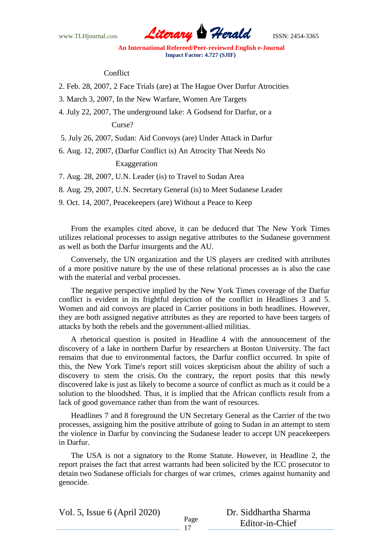

#### Conflict

2. Feb. 28, 2007, 2 Face Trials (are) at The Hague Over Darfur Atrocities

3. March 3, 2007, In the New Warfare, Women Are Targets

4. July 22, 2007, The underground lake: A Godsend for Darfur, or a

#### Curse?

5. July 26, 2007, Sudan: Aid Convoys (are) Under Attack in Darfur

6. Aug. 12, 2007, (Darfur Conflict is) An Atrocity That Needs No

#### Exaggeration

7. Aug. 28, 2007, U.N. Leader (is) to Travel to Sudan Area

8. Aug. 29, 2007, U.N. Secretary General (is) to Meet Sudanese Leader

9. Oct. 14, 2007, Peacekeepers (are) Without a Peace to Keep

From the examples cited above, it can be deduced that The New York Times utilizes relational processes to assign negative attributes to the Sudanese government as well as both the Darfur insurgents and the AU.

Conversely, the UN organization and the US players are credited with attributes of a more positive nature by the use of these relational processes as is also the case with the material and verbal processes.

The negative perspective implied by the New York Times coverage of the Darfur conflict is evident in its frightful depiction of the conflict in Headlines 3 and 5. Women and aid convoys are placed in Carrier positions in both headlines. However, they are both assigned negative attributes as they are reported to have been targets of attacks by both the rebels and the government-allied militias.

A rhetorical question is posited in Headline 4 with the announcement of the discovery of a lake in northern Darfur by researchers at Boston University. The fact remains that due to environmental factors, the Darfur conflict occurred. In spite of this, the New York Time's report still voices skepticism about the ability of such a discovery to stem the crisis. On the contrary, the report posits that this newly discovered lake is just as likely to become a source of conflict as much as it could be a solution to the bloodshed. Thus, it is implied that the African conflicts result from a lack of good governance rather than from the want of resources.

Headlines 7 and 8 foreground the UN Secretary General as the Carrier of the two processes, assigning him the positive attribute of going to Sudan in an attempt to stem the violence in Darfur by convincing the Sudanese leader to accept UN peacekeepers in Darfur.

The USA is not a signatory to the Rome Statute. However, in Headline 2, the report praises the fact that arrest warrants had been solicited by the ICC prosecutor to detain two Sudanese officials for charges of war crimes, crimes against humanity and genocide.

Vol. 5, Issue 6 (April 2020)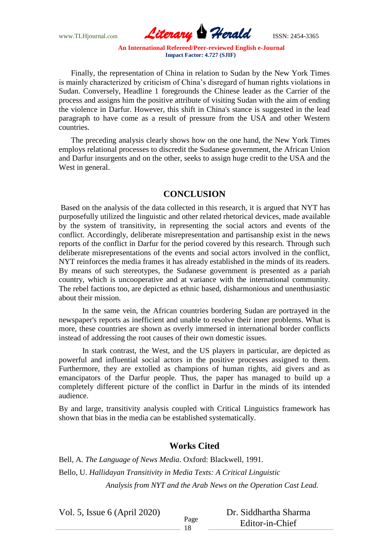

Finally, the representation of China in relation to Sudan by the New York Times is mainly characterized by criticism of China"s disregard of human rights violations in Sudan. Conversely, Headline 1 foregrounds the Chinese leader as the Carrier of the process and assigns him the positive attribute of visiting Sudan with the aim of ending the violence in Darfur. However, this shift in China's stance is suggested in the lead paragraph to have come as a result of pressure from the USA and other Western countries.

The preceding analysis clearly shows how on the one hand, the New York Times employs relational processes to discredit the Sudanese government, the African Union and Darfur insurgents and on the other, seeks to assign huge credit to the USA and the West in general.

## **CONCLUSION**

Based on the analysis of the data collected in this research, it is argued that NYT has purposefully utilized the linguistic and other related rhetorical devices, made available by the system of transitivity, in representing the social actors and events of the conflict. Accordingly, deliberate misrepresentation and partisanship exist in the news reports of the conflict in Darfur for the period covered by this research. Through such deliberate misrepresentations of the events and social actors involved in the conflict, NYT reinforces the media frames it has already established in the minds of its readers. By means of such stereotypes, the Sudanese government is presented as a pariah country, which is uncooperative and at variance with the international community. The rebel factions too, are depicted as ethnic based, disharmonious and unenthusiastic about their mission.

In the same vein, the African countries bordering Sudan are portrayed in the newspaper's reports as inefficient and unable to resolve their inner problems. What is more, these countries are shown as overly immersed in international border conflicts instead of addressing the root causes of their own domestic issues.

In stark contrast, the West, and the US players in particular, are depicted as powerful and influential social actors in the positive processes assigned to them. Furthermore, they are extolled as champions of human rights, aid givers and as emancipators of the Darfur people. Thus, the paper has managed to build up a completely different picture of the conflict in Darfur in the minds of its intended audience.

By and large, transitivity analysis coupled with Critical Linguistics framework has shown that bias in the media can be established systematically.

## **Works Cited**

Bell, A. *The Language of News Media*. Oxford: Blackwell, 1991. Bello, U. *Hallidayan Transitivity in Media Texts: A Critical Linguistic Analysis from NYT and the Arab News on the Operation Cast Lead.* 

Vol. 5, Issue 6 (April 2020)